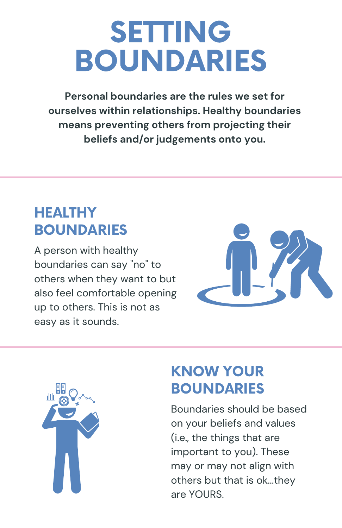# SETTING BOUNDARIES

**Personal boundaries are the rules we set for ourselves within relationships. Healthy boundaries means preventing others from projecting their beliefs and/or judgements onto you.**

### **HEALTHY BOUNDARIES**

A person with healthy boundaries can say "no" to others when they want to but also feel comfortable opening up to others. This is not as easy as it sounds.





### KNOW YOUR **BOUNDARIES**

Boundaries should be based on your beliefs and values (i.e., the things that are important to you). These may or may not align with others but that is ok...they are YOURS.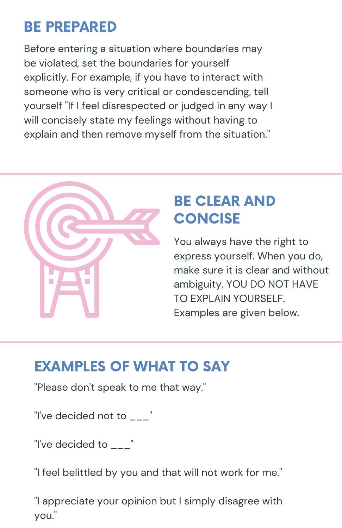# BE PREPARED

Before entering a situation where boundaries may be violated, set the boundaries for yourself explicitly. For example, if you have to interact with someone who is very critical or condescending, tell yourself "If I feel disrespected or judged in any way I will concisely state my feelings without having to explain and then remove myself from the situation."



### BE CLEAR AND **CONCISE**

You always have the right to express yourself. When you do, make sure it is clear and without ambiguity. YOU DO NOT HAVE TO EXPLAIN YOURSELF. Examples are given below.

### EXAMPLES OF WHAT TO SAY

"Please don't speak to me that way."

"I've decided not to \_\_\_"

"I've decided to \_\_\_"

"I feel belittled by you and that will not work for me."

"I appreciate your opinion but I simply disagree with you."